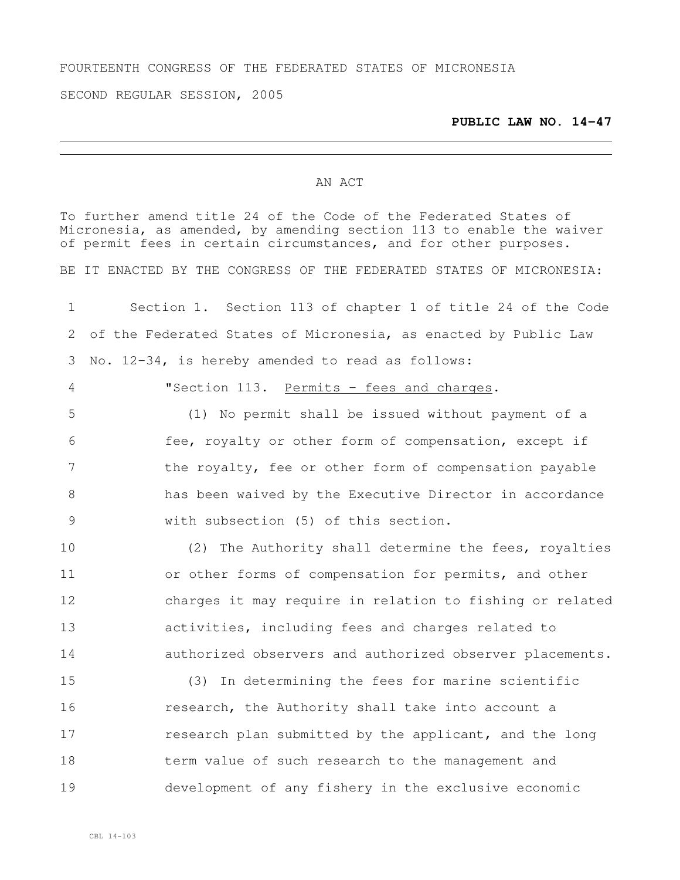## FOURTEENTH CONGRESS OF THE FEDERATED STATES OF MICRONESIA

SECOND REGULAR SESSION, 2005

## **PUBLIC LAW NO. 14-47**

## AN ACT

To further amend title 24 of the Code of the Federated States of Micronesia, as amended, by amending section 113 to enable the waiver of permit fees in certain circumstances, and for other purposes. BE IT ENACTED BY THE CONGRESS OF THE FEDERATED STATES OF MICRONESIA: Section 1. Section 113 of chapter 1 of title 24 of the Code of the Federated States of Micronesia, as enacted by Public Law No. 12-34, is hereby amended to read as follows: "Section 113. Permits - fees and charges. (1) No permit shall be issued without payment of a fee, royalty or other form of compensation, except if the royalty, fee or other form of compensation payable has been waived by the Executive Director in accordance with subsection (5) of this section. 10 (2) The Authority shall determine the fees, royalties or other forms of compensation for permits, and other charges it may require in relation to fishing or related activities, including fees and charges related to authorized observers and authorized observer placements. (3) In determining the fees for marine scientific research, the Authority shall take into account a research plan submitted by the applicant, and the long term value of such research to the management and development of any fishery in the exclusive economic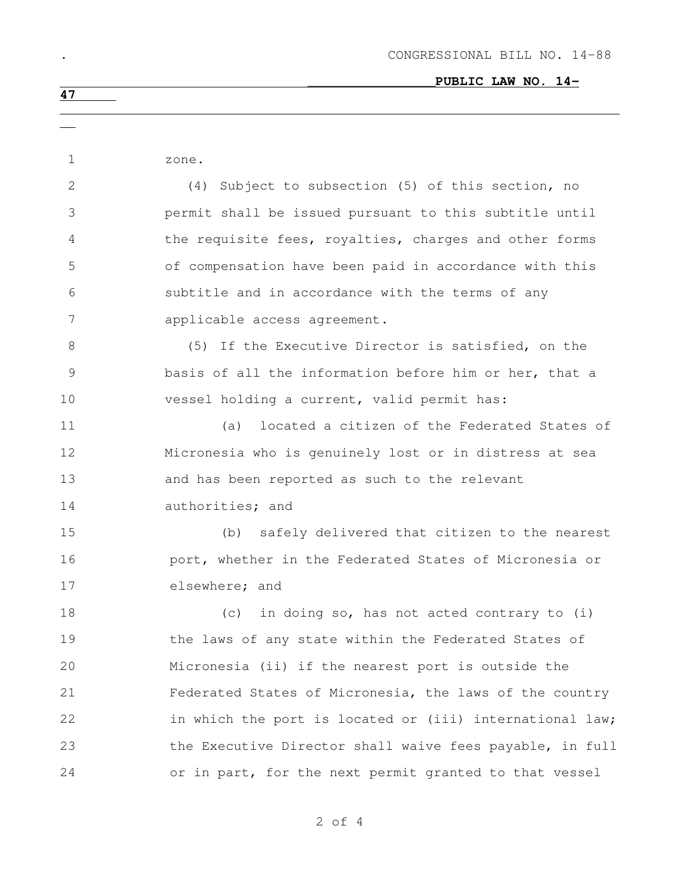| 1              | zone.                                                    |
|----------------|----------------------------------------------------------|
| 2              | (4) Subject to subsection (5) of this section, no        |
| 3              | permit shall be issued pursuant to this subtitle until   |
| 4              | the requisite fees, royalties, charges and other forms   |
| 5              | of compensation have been paid in accordance with this   |
| 6              | subtitle and in accordance with the terms of any         |
| $\overline{7}$ | applicable access agreement.                             |
| 8              | (5) If the Executive Director is satisfied, on the       |
| $\mathcal{G}$  | basis of all the information before him or her, that a   |
| 10             | vessel holding a current, valid permit has:              |
| 11             | located a citizen of the Federated States of<br>(a)      |
| 12             | Micronesia who is genuinely lost or in distress at sea   |
| 13             | and has been reported as such to the relevant            |
| 14             | authorities; and                                         |
| 15             | (b) safely delivered that citizen to the nearest         |
| 16             | port, whether in the Federated States of Micronesia or   |
| 17             | elsewhere; and                                           |
| 18             | in doing so, has not acted contrary to (i)<br>(C)        |
| 19             | the laws of any state within the Federated States of     |
| 20             | Micronesia (ii) if the nearest port is outside the       |
| 21             | Federated States of Micronesia, the laws of the country  |
| 22             | in which the port is located or (iii) international law; |
| 23             | the Executive Director shall waive fees payable, in full |
| 24             | or in part, for the next permit granted to that vessel   |
|                |                                                          |

of 4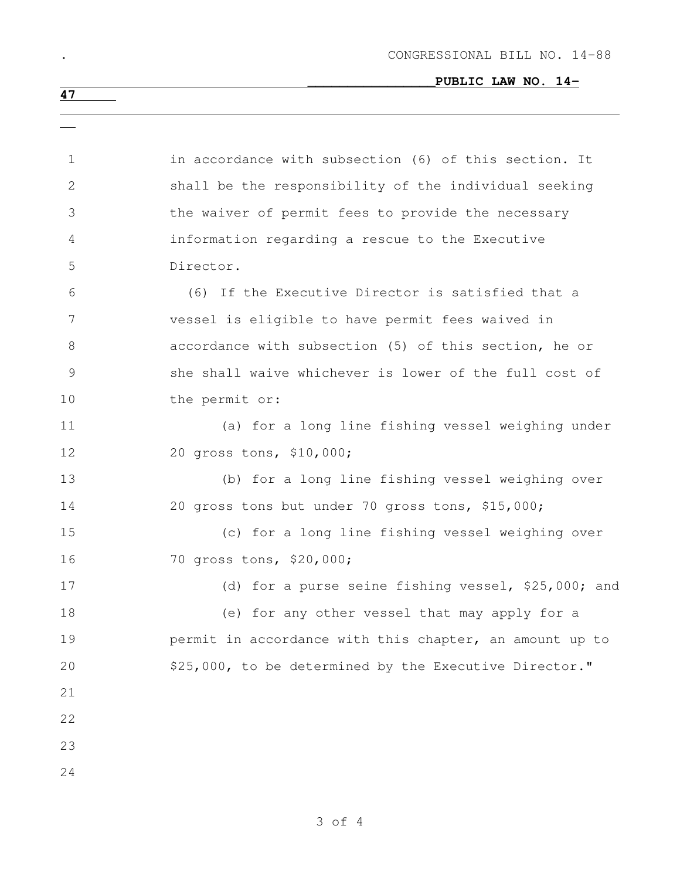## \_\_\_\_\_\_\_\_\_\_\_\_\_\_\_\_**PUBLIC LAW NO. 14-**

| $\mathbf 1$  | in accordance with subsection (6) of this section. It   |
|--------------|---------------------------------------------------------|
| $\mathbf{2}$ | shall be the responsibility of the individual seeking   |
| 3            | the waiver of permit fees to provide the necessary      |
| 4            | information regarding a rescue to the Executive         |
| 5            | Director.                                               |
| 6            | (6) If the Executive Director is satisfied that a       |
| 7            | vessel is eligible to have permit fees waived in        |
| 8            | accordance with subsection (5) of this section, he or   |
| 9            | she shall waive whichever is lower of the full cost of  |
| 10           | the permit or:                                          |
| 11           | (a) for a long line fishing vessel weighing under       |
| 12           | 20 gross tons, \$10,000;                                |
| 13           | (b) for a long line fishing vessel weighing over        |
| 14           | 20 gross tons but under 70 gross tons, \$15,000;        |
| 15           | (c) for a long line fishing vessel weighing over        |
| 16           | 70 gross tons, \$20,000;                                |
| 17           | (d) for a purse seine fishing vessel, \$25,000; and     |
| 18           | (e) for any other vessel that may apply for a           |
| 19           | permit in accordance with this chapter, an amount up to |
| 20           | \$25,000, to be determined by the Executive Director."  |
| 21           |                                                         |
| 22           |                                                         |
| 23           |                                                         |
| 24           |                                                         |
|              |                                                         |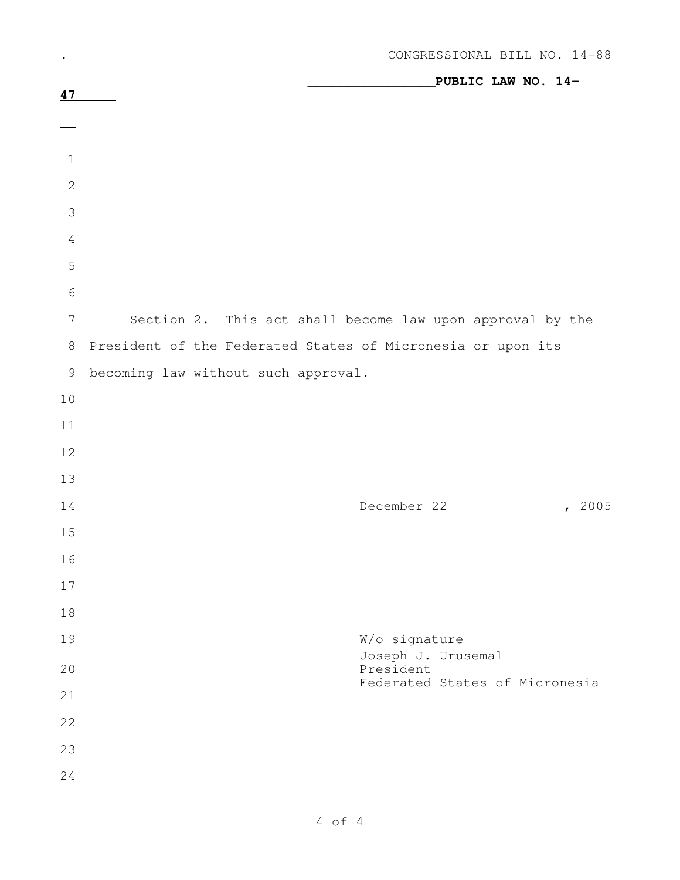|                                                           | PUBLIC LAW NO. 14-                                          |
|-----------------------------------------------------------|-------------------------------------------------------------|
| 47                                                        |                                                             |
|                                                           |                                                             |
| $\mathbf 1$                                               |                                                             |
| $\mathbf{2}$                                              |                                                             |
| $\mathcal{S}$                                             |                                                             |
| $\overline{4}$                                            |                                                             |
| 5                                                         |                                                             |
| $\epsilon$                                                |                                                             |
| $\overline{7}$                                            | Section 2. This act shall become law upon approval by the   |
| $\,8\,$                                                   | President of the Federated States of Micronesia or upon its |
| $\mathcal{G}% _{M_{1},M_{2}}^{\alpha,\beta}(\mathcal{A})$ | becoming law without such approval.                         |
| $10$                                                      |                                                             |
| $11$                                                      |                                                             |
| 12                                                        |                                                             |
| 13                                                        |                                                             |
| 14                                                        | 2005<br>December 22<br>$\mathcal{L}$                        |
| 15                                                        |                                                             |
| 16                                                        |                                                             |
| 17                                                        |                                                             |
| 18                                                        |                                                             |
| 19                                                        | W/o signature<br>Joseph J. Urusemal                         |
| 20                                                        | President<br>Federated States of Micronesia                 |
| 21                                                        |                                                             |
| 22                                                        |                                                             |
| 23                                                        |                                                             |
| 24                                                        |                                                             |